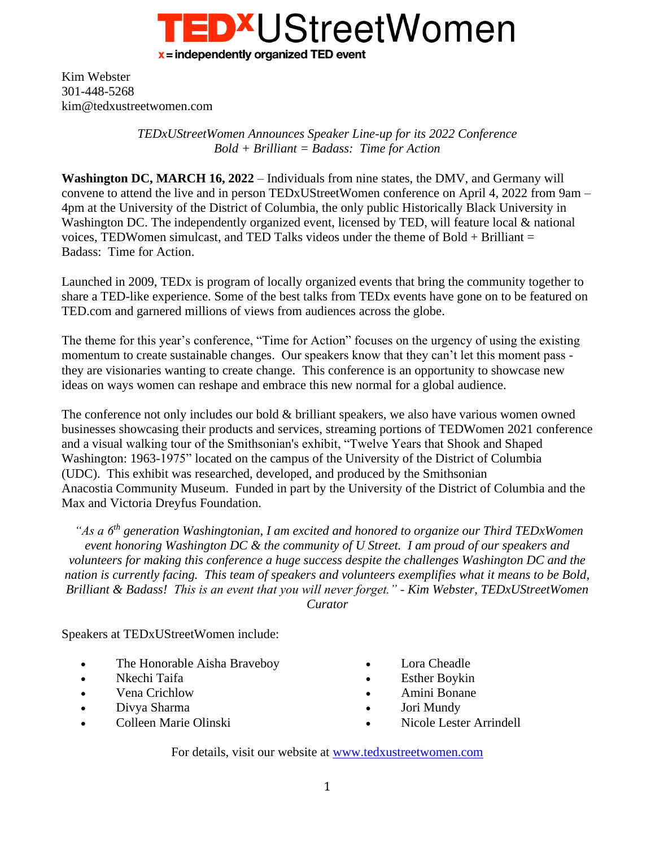

Kim Webster 301-448-5268 kim@tedxustreetwomen.com

> *TEDxUStreetWomen Announces Speaker Line-up for its 2022 Conference Bold + Brilliant = Badass: Time for Action*

**Washington DC, MARCH 16, 2022** – Individuals from nine states, the DMV, and Germany will convene to attend the live and in person TEDxUStreetWomen conference on April 4, 2022 from 9am – 4pm at the University of the District of Columbia, the only public Historically Black University in Washington DC. The independently organized event, licensed by TED, will feature local & national voices, TEDWomen simulcast, and TED Talks videos under the theme of Bold  $+$  Brilliant  $=$ Badass: Time for Action.

Launched in 2009, TEDx is program of locally organized events that bring the community together to share a TED-like experience. Some of the best talks from TEDx events have gone on to be featured on TED.com and garnered millions of views from audiences across the globe.

The theme for this year's conference, "Time for Action" focuses on the urgency of using the existing momentum to create sustainable changes. Our speakers know that they can't let this moment pass they are visionaries wanting to create change. This conference is an opportunity to showcase new ideas on ways women can reshape and embrace this new normal for a global audience.

The conference not only includes our bold & brilliant speakers, we also have various women owned businesses showcasing their products and services, streaming portions of TEDWomen 2021 conference and a visual walking tour of the Smithsonian's exhibit, "Twelve Years that Shook and Shaped Washington: 1963-1975" located on the campus of the University of the District of Columbia (UDC). This exhibit was researched, developed, and produced by the Smithsonian Anacostia Community Museum. Funded in part by the University of the District of Columbia and the Max and Victoria Dreyfus Foundation.

*"As a 6th generation Washingtonian, I am excited and honored to organize our Third TEDxWomen event honoring Washington DC & the community of U Street. I am proud of our speakers and volunteers for making this conference a huge success despite the challenges Washington DC and the nation is currently facing. This team of speakers and volunteers exemplifies what it means to be Bold, Brilliant & Badass! This is an event that you will never forget." - Kim Webster, TEDxUStreetWomen Curator*

Speakers at TEDxUStreetWomen include:

- The Honorable Aisha Braveboy
- Nkechi Taifa
- Vena Crichlow
- Divya Sharma
- Colleen Marie Olinski
- Lora Cheadle
- Esther Boykin
- Amini Bonane
- Jori Mundy
- Nicole Lester Arrindell

For details, visit our website at [www.tedxustreetwomen.com](http://www.tedxustreetwomen.com/)